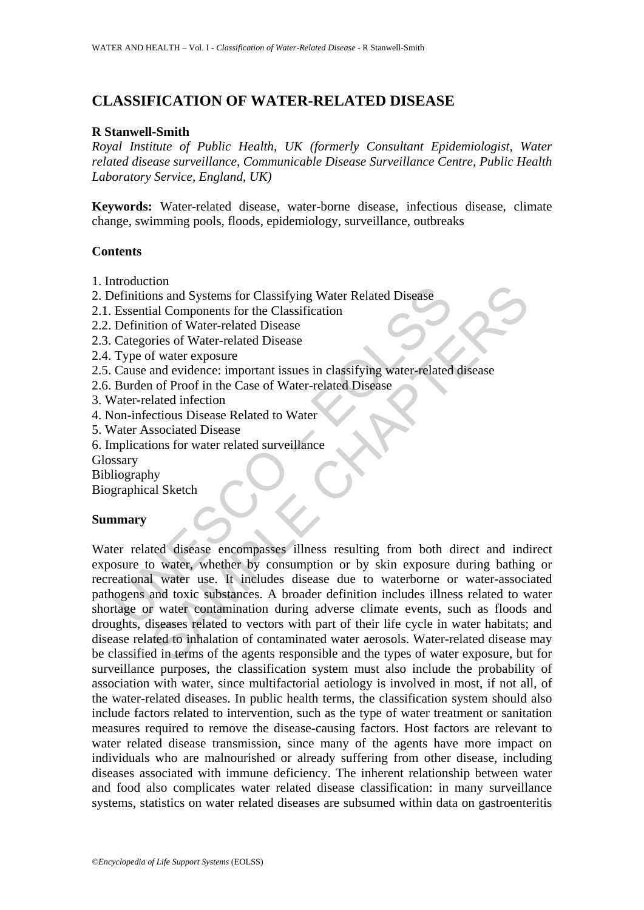# **CLASSIFICATION OF WATER-RELATED DISEASE**

#### **R Stanwell-Smith**

*Royal Institute of Public Health, UK (formerly Consultant Epidemiologist, Water related disease surveillance, Communicable Disease Surveillance Centre, Public Health Laboratory Service, England, UK)* 

**Keywords:** Water-related disease, water-borne disease, infectious disease, climate change, swimming pools, floods, epidemiology, surveillance, outbreaks

#### **Contents**

- 1. Introduction
- 2. Definitions and Systems for Classifying Water Related Disease
- 2.1. Essential Components for the Classification
- 2.2. Definition of Water-related Disease
- 2.3. Categories of Water-related Disease
- 2.4. Type of water exposure
- 2.5. Cause and evidence: important issues in classifying water-related disease
- 2.6. Burden of Proof in the Case of Water-related Disease
- 3. Water-related infection
- 4. Non-infectious Disease Related to Water
- 5. Water Associated Disease
- 6. Implications for water related surveillance
- Glossary
- Bibliography

Biographical Sketch

#### **Summary**

Exercison<br>
included to the Classifying Water Related Disease<br>
Essential Components for the Classification<br>
Definitions of Water-related Disease<br>
Type of water exposure<br>
Type of water exposure<br>
Type of water considered and<br> From an and Systems for Classifying Water Related Disease<br>
ial Components for the Classification<br>
or Water-related Disease<br>
of Water-related Disease<br>
of Water-related Disease<br>
and evidence: important issues in classifying Water related disease encompasses illness resulting from both direct and indirect exposure to water, whether by consumption or by skin exposure during bathing or recreational water use. It includes disease due to waterborne or water-associated pathogens and toxic substances. A broader definition includes illness related to water shortage or water contamination during adverse climate events, such as floods and droughts, diseases related to vectors with part of their life cycle in water habitats; and disease related to inhalation of contaminated water aerosols. Water-related disease may be classified in terms of the agents responsible and the types of water exposure, but for surveillance purposes, the classification system must also include the probability of association with water, since multifactorial aetiology is involved in most, if not all, of the water-related diseases. In public health terms, the classification system should also include factors related to intervention, such as the type of water treatment or sanitation measures required to remove the disease-causing factors. Host factors are relevant to water related disease transmission, since many of the agents have more impact on individuals who are malnourished or already suffering from other disease, including diseases associated with immune deficiency. The inherent relationship between water and food also complicates water related disease classification: in many surveillance systems, statistics on water related diseases are subsumed within data on gastroenteritis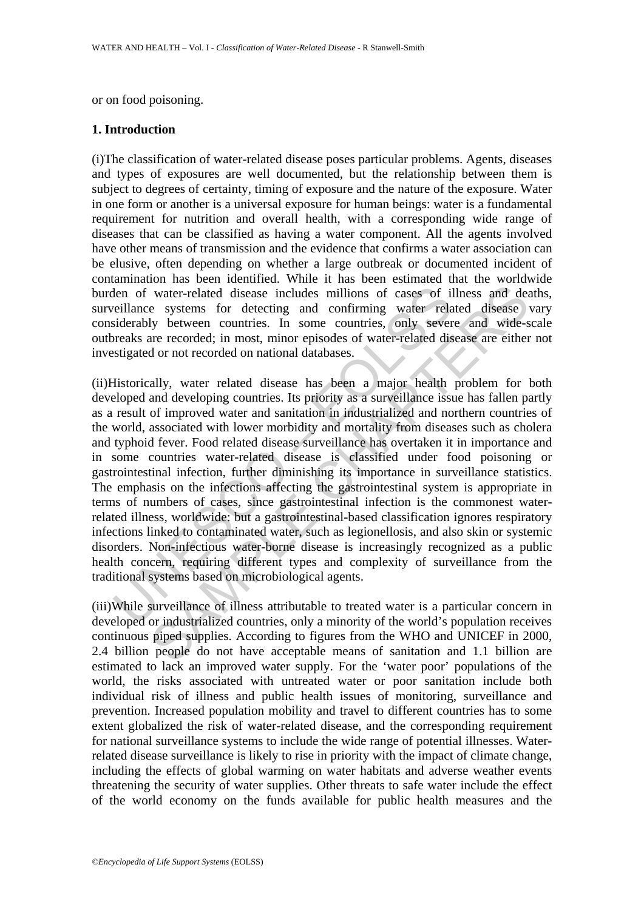or on food poisoning.

#### **1. Introduction**

(i)The classification of water-related disease poses particular problems. Agents, diseases and types of exposures are well documented, but the relationship between them is subject to degrees of certainty, timing of exposure and the nature of the exposure. Water in one form or another is a universal exposure for human beings: water is a fundamental requirement for nutrition and overall health, with a corresponding wide range of diseases that can be classified as having a water component. All the agents involved have other means of transmission and the evidence that confirms a water association can be elusive, often depending on whether a large outbreak or documented incident of contamination has been identified. While it has been estimated that the worldwide burden of water-related disease includes millions of cases of illness and deaths, surveillance systems for detecting and confirming water related disease vary considerably between countries. In some countries, only severe and wide-scale outbreaks are recorded; in most, minor episodes of water-related disease are either not investigated or not recorded on national databases.

len of water-related disease includes millions of cases of il<br>eillance systems for detecting and confirming water relation-<br>siderably between countries. In some countries, only sever<br>reaks are recorded; in most, minor epis water-related disease includes millions of cases of illness and dee<br>e systems for detecting and confirming water related disease<br>by between countries. In some countries, only severe and wide-s<br>are recorded; in most, minor (ii)Historically, water related disease has been a major health problem for both developed and developing countries. Its priority as a surveillance issue has fallen partly as a result of improved water and sanitation in industrialized and northern countries of the world, associated with lower morbidity and mortality from diseases such as cholera and typhoid fever. Food related disease surveillance has overtaken it in importance and in some countries water-related disease is classified under food poisoning or gastrointestinal infection, further diminishing its importance in surveillance statistics. The emphasis on the infections affecting the gastrointestinal system is appropriate in terms of numbers of cases, since gastrointestinal infection is the commonest waterrelated illness, worldwide: but a gastrointestinal-based classification ignores respiratory infections linked to contaminated water, such as legionellosis, and also skin or systemic disorders. Non-infectious water-borne disease is increasingly recognized as a public health concern, requiring different types and complexity of surveillance from the traditional systems based on microbiological agents.

(iii)While surveillance of illness attributable to treated water is a particular concern in developed or industrialized countries, only a minority of the world's population receives continuous piped supplies. According to figures from the WHO and UNICEF in 2000, 2.4 billion people do not have acceptable means of sanitation and 1.1 billion are estimated to lack an improved water supply. For the 'water poor' populations of the world, the risks associated with untreated water or poor sanitation include both individual risk of illness and public health issues of monitoring, surveillance and prevention. Increased population mobility and travel to different countries has to some extent globalized the risk of water-related disease, and the corresponding requirement for national surveillance systems to include the wide range of potential illnesses. Waterrelated disease surveillance is likely to rise in priority with the impact of climate change, including the effects of global warming on water habitats and adverse weather events threatening the security of water supplies. Other threats to safe water include the effect of the world economy on the funds available for public health measures and the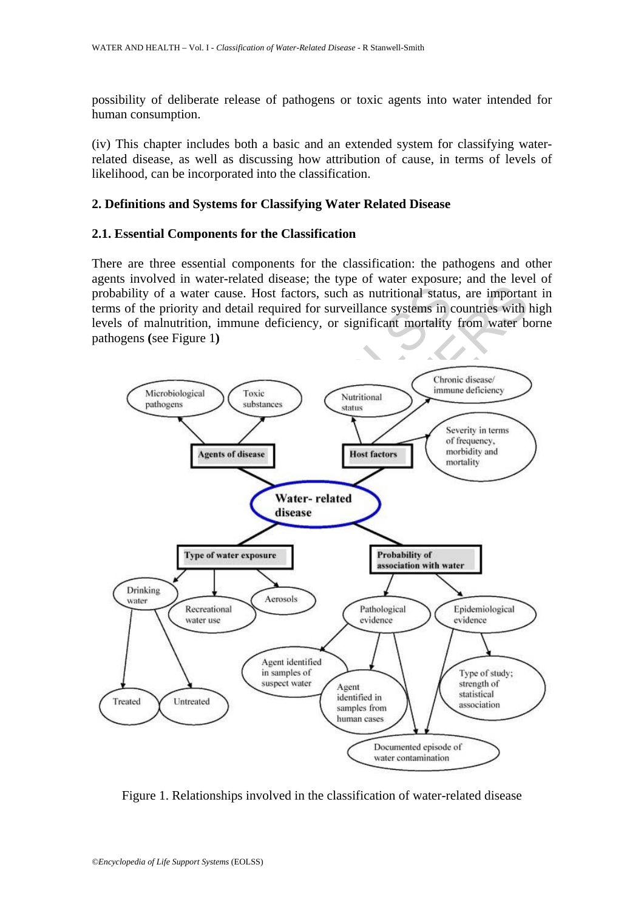possibility of deliberate release of pathogens or toxic agents into water intended for human consumption.

(iv) This chapter includes both a basic and an extended system for classifying waterrelated disease, as well as discussing how attribution of cause, in terms of levels of likelihood, can be incorporated into the classification.

### **2. Definitions and Systems for Classifying Water Related Disease**

### **2.1. Essential Components for the Classification**

There are three essential components for the classification: the pathogens and other agents involved in water-related disease; the type of water exposure; and the level of probability of a water cause. Host factors, such as nutritional status, are important in terms of the priority and detail required for surveillance systems in countries with high levels of malnutrition, immune deficiency, or significant mortality from water borne pathogens **(**see Figure 1**)** 



Figure 1. Relationships involved in the classification of water-related disease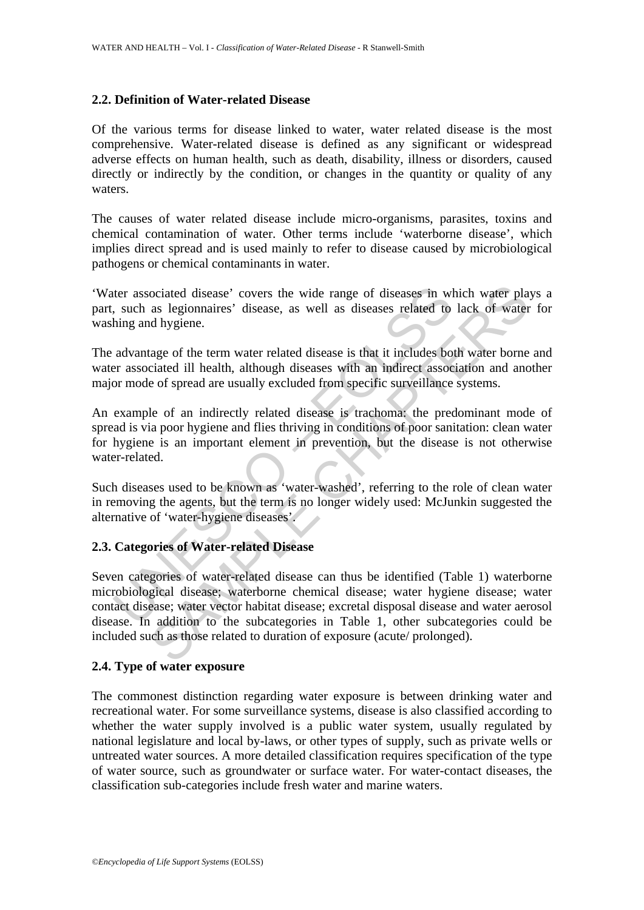### **2.2. Definition of Water-related Disease**

Of the various terms for disease linked to water, water related disease is the most comprehensive. Water-related disease is defined as any significant or widespread adverse effects on human health, such as death, disability, illness or disorders, caused directly or indirectly by the condition, or changes in the quantity or quality of any waters.

The causes of water related disease include micro-organisms, parasites, toxins and chemical contamination of water. Other terms include 'waterborne disease', which implies direct spread and is used mainly to refer to disease caused by microbiological pathogens or chemical contaminants in water.

'Water associated disease' covers the wide range of diseases in which water plays a part, such as legionnaires' disease, as well as diseases related to lack of water for washing and hygiene.

The advantage of the term water related disease is that it includes both water borne and water associated ill health, although diseases with an indirect association and another major mode of spread are usually excluded from specific surveillance systems.

ther associated disease' covers the wide range of diseases in w<br>
, such as legionnaires' disease, as well as diseases related to<br>
hing and hygiene.<br>
advantage of the term water related disease is that it includes bo<br>
are a An example of an indirectly related disease is trachoma: the predominant mode of spread is via poor hygiene and flies thriving in conditions of poor sanitation: clean water for hygiene is an important element in prevention, but the disease is not otherwise water-related.

Such diseases used to be known as 'water-washed', referring to the role of clean water in removing the agents, but the term is no longer widely used: McJunkin suggested the alternative of 'water-hygiene diseases'.

## **2.3. Categories of Water-related Disease**

ociated disease' covers the wide range of diseases in which water pla<br>as legionnaires' disease, as well as diseases related to lack of water<br>dhygiene.<br>age of the term water related disease is that it includes both water bo Seven categories of water-related disease can thus be identified (Table 1) waterborne microbiological disease; waterborne chemical disease; water hygiene disease; water contact disease; water vector habitat disease; excretal disposal disease and water aerosol disease. In addition to the subcategories in Table 1, other subcategories could be included such as those related to duration of exposure (acute/ prolonged).

### **2.4. Type of water exposure**

The commonest distinction regarding water exposure is between drinking water and recreational water. For some surveillance systems, disease is also classified according to whether the water supply involved is a public water system, usually regulated by national legislature and local by-laws, or other types of supply, such as private wells or untreated water sources. A more detailed classification requires specification of the type of water source, such as groundwater or surface water. For water-contact diseases, the classification sub-categories include fresh water and marine waters.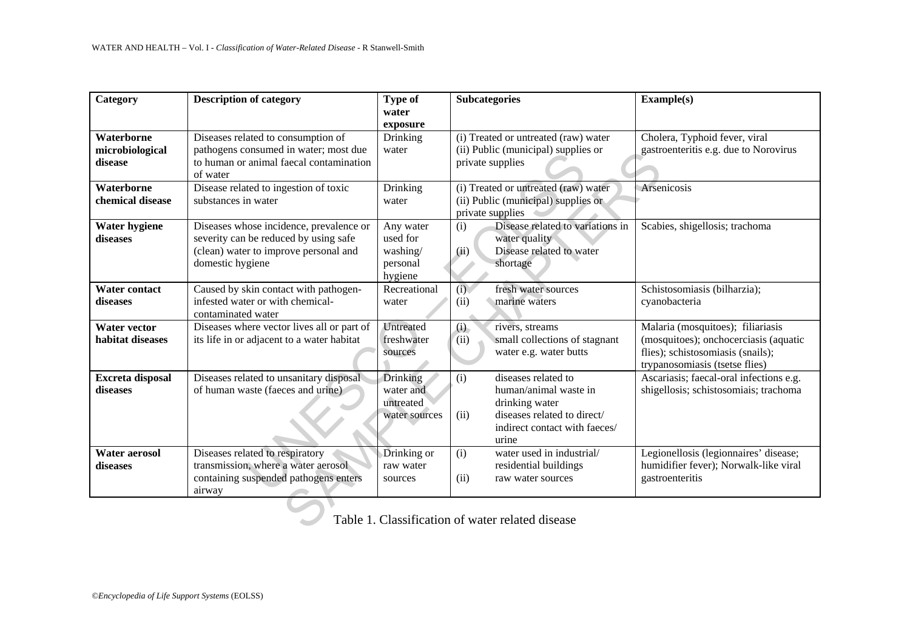| Category                                 | <b>Description of category</b>                                                                                                                | <b>Type of</b><br>water<br>exposure                      | <b>Subcategories</b>                                                                                                                                   | Example(s)                                                                                                                                        |
|------------------------------------------|-----------------------------------------------------------------------------------------------------------------------------------------------|----------------------------------------------------------|--------------------------------------------------------------------------------------------------------------------------------------------------------|---------------------------------------------------------------------------------------------------------------------------------------------------|
| Waterborne<br>microbiological<br>disease | Diseases related to consumption of<br>pathogens consumed in water; most due<br>to human or animal faecal contamination<br>of water            | Drinking<br>water                                        | (i) Treated or untreated (raw) water<br>(ii) Public (municipal) supplies or<br>private supplies                                                        | Cholera, Typhoid fever, viral<br>gastroenteritis e.g. due to Norovirus                                                                            |
| Waterborne<br>chemical disease           | Disease related to ingestion of toxic<br>substances in water                                                                                  | Drinking<br>water                                        | (i) Treated or untreated (raw) water<br>(ii) Public (municipal) supplies or<br>private supplies                                                        | Arsenicosis                                                                                                                                       |
| Water hygiene<br>diseases                | Diseases whose incidence, prevalence or<br>severity can be reduced by using safe<br>(clean) water to improve personal and<br>domestic hygiene | Any water<br>used for<br>washing/<br>personal<br>hygiene | Disease related to variations in<br>(i)<br>water quality<br>(ii)<br>Disease related to water<br>shortage                                               | Scabies, shigellosis; trachoma                                                                                                                    |
| <b>Water contact</b><br>diseases         | Caused by skin contact with pathogen-<br>infested water or with chemical-<br>contaminated water                                               | Recreational<br>water                                    | (i)<br>fresh water sources<br>marine waters<br>(ii)                                                                                                    | Schistosomiasis (bilharzia);<br>cyanobacteria                                                                                                     |
| <b>Water vector</b><br>habitat diseases  | Diseases where vector lives all or part of<br>its life in or adjacent to a water habitat                                                      | Untreated<br>freshwater<br>sources                       | (i)<br>rivers, streams<br>small collections of stagnant<br>(ii)<br>water e.g. water butts                                                              | Malaria (mosquitoes); filiariasis<br>(mosquitoes); onchocerciasis (aquatic<br>flies); schistosomiasis (snails);<br>trypanosomiasis (tsetse flies) |
| <b>Excreta disposal</b><br>diseases      | Diseases related to unsanitary disposal<br>of human waste (faeces and urine)                                                                  | Drinking<br>water and<br>untreated<br>water sources      | diseases related to<br>(i)<br>human/animal waste in<br>drinking water<br>diseases related to direct/<br>(ii)<br>indirect contact with faeces/<br>urine | Ascariasis; faecal-oral infections e.g.<br>shigellosis; schistosomiais; trachoma                                                                  |
| <b>Water aerosol</b><br>diseases         | Diseases related to respiratory<br>transmission, where a water aerosol<br>containing suspended pathogens enters<br>airway                     | Drinking or<br>raw water<br>sources                      | water used in industrial/<br>(i)<br>residential buildings<br>(ii)<br>raw water sources                                                                 | Legionellosis (legionnaires' disease;<br>humidifier fever); Norwalk-like viral<br>gastroenteritis                                                 |

|  |  |  |  |  |  |  | Table 1. Classification of water related disease |
|--|--|--|--|--|--|--|--------------------------------------------------|
|--|--|--|--|--|--|--|--------------------------------------------------|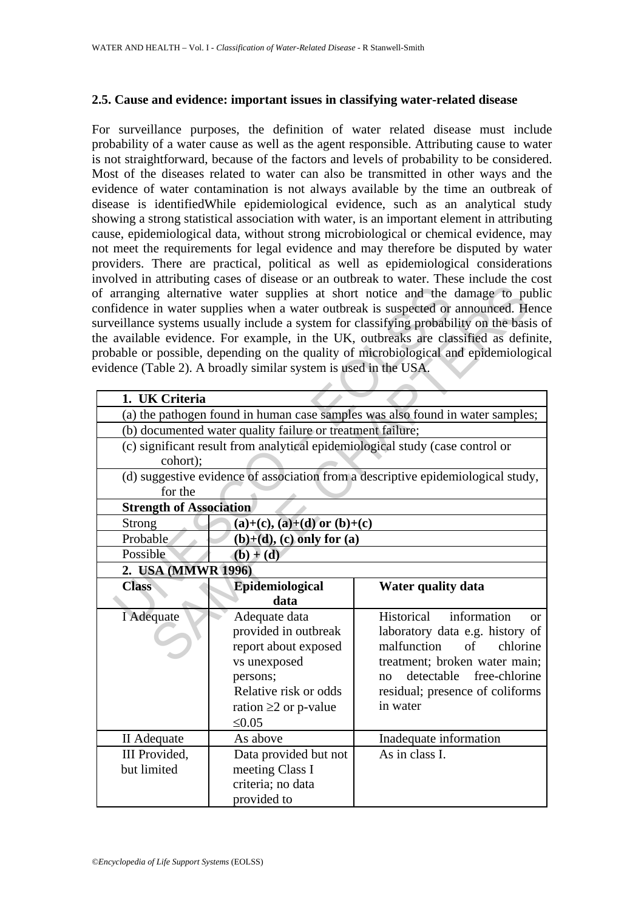### **2.5. Cause and evidence: important issues in classifying water-related disease**

For surveillance purposes, the definition of water related disease must include probability of a water cause as well as the agent responsible. Attributing cause to water is not straightforward, because of the factors and levels of probability to be considered. Most of the diseases related to water can also be transmitted in other ways and the evidence of water contamination is not always available by the time an outbreak of disease is identifiedWhile epidemiological evidence, such as an analytical study showing a strong statistical association with water, is an important element in attributing cause, epidemiological data, without strong microbiological or chemical evidence, may not meet the requirements for legal evidence and may therefore be disputed by water providers. There are practical, political as well as epidemiological considerations involved in attributing cases of disease or an outbreak to water. These include the cost of arranging alternative water supplies at short notice and the damage to public confidence in water supplies when a water outbreak is suspected or announced. Hence surveillance systems usually include a system for classifying probability on the basis of the available evidence. For example, in the UK, outbreaks are classified as definite, probable or possible, depending on the quality of microbiological and epidemiological evidence (Table 2). A broadly similar system is used in the USA.

|                                |                                                                  | of arranging alternative water supplies at short notice and the damage to public<br>confidence in water supplies when a water outbreak is suspected or announced. Hence |  |  |  |
|--------------------------------|------------------------------------------------------------------|-------------------------------------------------------------------------------------------------------------------------------------------------------------------------|--|--|--|
|                                |                                                                  | surveillance systems usually include a system for classifying probability on the basis of                                                                               |  |  |  |
|                                |                                                                  | he available evidence. For example, in the UK, outbreaks are classified as definite                                                                                     |  |  |  |
|                                |                                                                  | probable or possible, depending on the quality of microbiological and epidemiological                                                                                   |  |  |  |
|                                | evidence (Table 2). A broadly similar system is used in the USA. |                                                                                                                                                                         |  |  |  |
|                                |                                                                  |                                                                                                                                                                         |  |  |  |
| 1. UK Criteria                 |                                                                  |                                                                                                                                                                         |  |  |  |
|                                |                                                                  | (a) the pathogen found in human case samples was also found in water samples;                                                                                           |  |  |  |
|                                | (b) documented water quality failure or treatment failure;       |                                                                                                                                                                         |  |  |  |
|                                |                                                                  | (c) significant result from analytical epidemiological study (case control or                                                                                           |  |  |  |
| cohort);                       |                                                                  |                                                                                                                                                                         |  |  |  |
|                                |                                                                  | (d) suggestive evidence of association from a descriptive epidemiological study,                                                                                        |  |  |  |
| for the                        |                                                                  |                                                                                                                                                                         |  |  |  |
| <b>Strength of Association</b> |                                                                  |                                                                                                                                                                         |  |  |  |
| <b>Strong</b>                  | $(a)+(c)$ , $(a)+(d)$ or $(b)+(c)$                               |                                                                                                                                                                         |  |  |  |
| Probable                       | $(b)+(d)$ , (c) only for (a)                                     |                                                                                                                                                                         |  |  |  |
| Possible                       | $(b) + (d)$                                                      |                                                                                                                                                                         |  |  |  |
| 2. USA (MMWR 1996)             |                                                                  |                                                                                                                                                                         |  |  |  |
| <b>Class</b>                   | Epidemiological                                                  | <b>Water quality data</b>                                                                                                                                               |  |  |  |
|                                | data                                                             |                                                                                                                                                                         |  |  |  |
| I Adequate                     | Adequate data                                                    | Historical<br>information<br><b>or</b>                                                                                                                                  |  |  |  |
|                                | provided in outbreak                                             | laboratory data e.g. history of                                                                                                                                         |  |  |  |
|                                | report about exposed                                             | malfunction<br>$\sigma$ f<br>chlorine                                                                                                                                   |  |  |  |
|                                | vs unexposed                                                     | treatment; broken water main;                                                                                                                                           |  |  |  |
|                                | persons;                                                         | detectable<br>free-chlorine<br>no                                                                                                                                       |  |  |  |
|                                | Relative risk or odds                                            | residual; presence of coliforms                                                                                                                                         |  |  |  |
|                                | ration $\geq$ 2 or p-value                                       | in water                                                                                                                                                                |  |  |  |
|                                | $\leq 0.05$                                                      |                                                                                                                                                                         |  |  |  |
| II Adequate                    | As above                                                         | Inadequate information                                                                                                                                                  |  |  |  |
| <b>III</b> Provided,           | Data provided but not                                            | As in class I.                                                                                                                                                          |  |  |  |
| but limited                    | meeting Class I                                                  |                                                                                                                                                                         |  |  |  |
|                                | criteria; no data                                                |                                                                                                                                                                         |  |  |  |
|                                | provided to                                                      |                                                                                                                                                                         |  |  |  |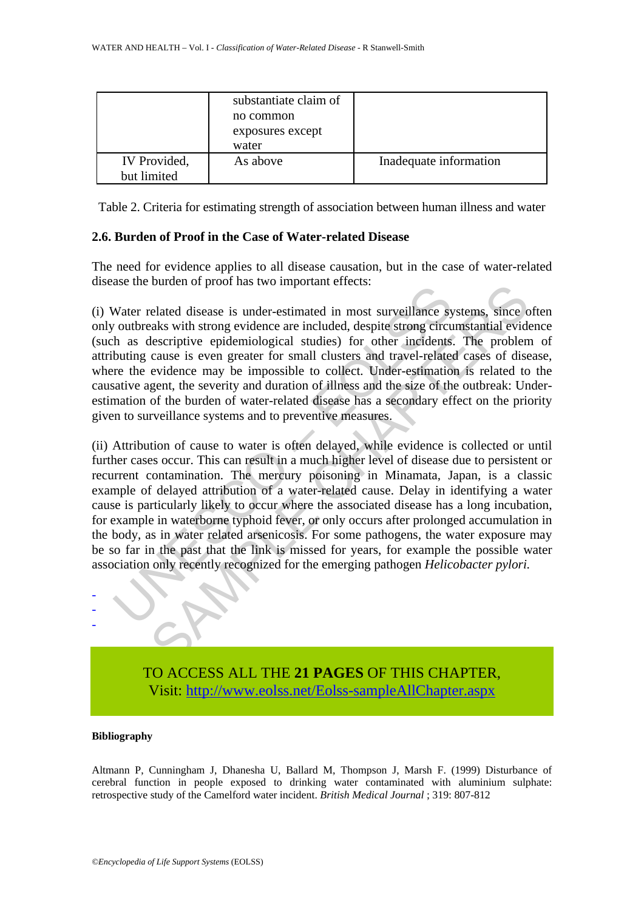|                                    | substantiate claim of<br>no common<br>exposures except<br>water |                        |
|------------------------------------|-----------------------------------------------------------------|------------------------|
| <b>IV</b> Provided,<br>but limited | As above                                                        | Inadequate information |

Table 2. Criteria for estimating strength of association between human illness and water

### **2.6. Burden of Proof in the Case of Water-related Disease**

The need for evidence applies to all disease causation, but in the case of water-related disease the burden of proof has two important effects:

(i) Water related disease is under-estimated in most surveillance systems, since often only outbreaks with strong evidence are included, despite strong circumstantial evidence (such as descriptive epidemiological studies) for other incidents. The problem of attributing cause is even greater for small clusters and travel-related cases of disease, where the evidence may be impossible to collect. Under-estimation is related to the causative agent, the severity and duration of illness and the size of the outbreak: Underestimation of the burden of water-related disease has a secondary effect on the priority given to surveillance systems and to preventive measures.

Water related disease is under-estimated in most surveillance sy<br>
Water related disease is under-estimated in most surveillance sy<br>
Water related disease is even greater for small clusters and travel-related<br>
buting cause beta disease is under-estimated in most surveillance systems, since of elast swith strong evidence are included, despite strong criterantial evideocrapive epidemiological studies) for other incidents. The problem cause is (ii) Attribution of cause to water is often delayed, while evidence is collected or until further cases occur. This can result in a much higher level of disease due to persistent or recurrent contamination. The mercury poisoning in Minamata, Japan, is a classic example of delayed attribution of a water-related cause. Delay in identifying a water cause is particularly likely to occur where the associated disease has a long incubation, for example in waterborne typhoid fever, or only occurs after prolonged accumulation in the body, as in water related arsenicosis. For some pathogens, the water exposure may be so far in the past that the link is missed for years, for example the possible water association only recently recognized for the emerging pathogen *Helicobacter pylori.* 



TO ACCESS ALL THE **21 PAGES** OF THIS CHAPTER, Visit: [http://www.eolss.net/Eolss-sampleAllChapter.aspx](https://www.eolss.net/ebooklib/sc_cart.aspx?File=E2-20A-01-01)

#### **Bibliography**

Altmann P, Cunningham J, Dhanesha U, Ballard M, Thompson J, Marsh F. (1999) Disturbance of cerebral function in people exposed to drinking water contaminated with aluminium sulphate: retrospective study of the Camelford water incident. *British Medical Journal* ; 319: 807-812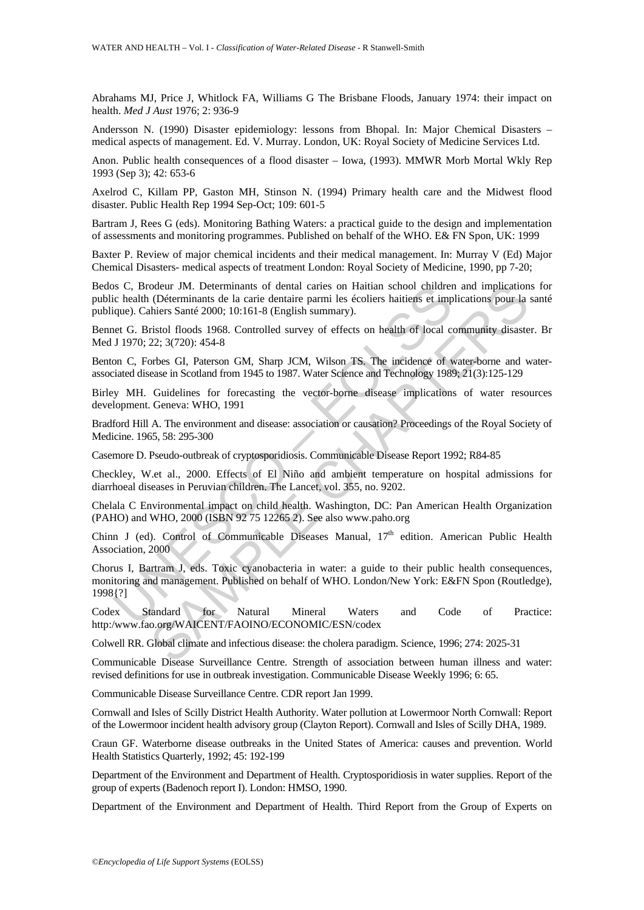Abrahams MJ, Price J, Whitlock FA, Williams G The Brisbane Floods, January 1974: their impact on health. *Med J Aust* 1976; 2: 936-9

Andersson N. (1990) Disaster epidemiology: lessons from Bhopal. In: Major Chemical Disasters – medical aspects of management. Ed. V. Murray. London, UK: Royal Society of Medicine Services Ltd.

Anon. Public health consequences of a flood disaster – Iowa, (1993). MMWR Morb Mortal Wkly Rep 1993 (Sep 3); 42: 653-6

Axelrod C, Killam PP, Gaston MH, Stinson N. (1994) Primary health care and the Midwest flood disaster. Public Health Rep 1994 Sep-Oct; 109: 601-5

Bartram J, Rees G (eds). Monitoring Bathing Waters: a practical guide to the design and implementation of assessments and monitoring programmes. Published on behalf of the WHO. E& FN Spon, UK: 1999

Baxter P. Review of major chemical incidents and their medical management. In: Murray V (Ed) Major Chemical Disasters- medical aspects of treatment London: Royal Society of Medicine, 1990, pp 7-20;

Bedos C, Brodeur JM. Determinants of dental caries on Haitian school children and implications for public health (Déterminants de la carie dentaire parmi les écoliers haitiens et implications pour la santé publique). Cahiers Santé 2000; 10:161-8 (English summary).

Bennet G. Bristol floods 1968. Controlled survey of effects on health of local community disaster. Br Med J 1970; 22; 3(720): 454-8

Benton C, Forbes GI, Paterson GM, Sharp JCM, Wilson TS. The incidence of water-borne and waterassociated disease in Scotland from 1945 to 1987. Water Science and Technology 1989; 21(3):125-129

Birley MH. Guidelines for forecasting the vector-borne disease implications of water resources development. Geneva: WHO, 1991

Bradford Hill A. The environment and disease: association or causation? Proceedings of the Royal Society of Medicine. 1965, 58: 295-300

Casemore D. Pseudo-outbreak of cryptosporidiosis. Communicable Disease Report 1992; R84-85

Checkley, W.et al., 2000. Effects of El Niño and ambient temperature on hospital admissions for diarrhoeal diseases in Peruvian children. The Lancet, vol. 355, no. 9202.

Chelala C Environmental impact on child health. Washington, DC: Pan American Health Organization (PAHO) and WHO, 2000 (ISBN 92 75 12265 2). See also www.paho.org

Chinn J (ed). Control of Communicable Diseases Manual,  $17<sup>th</sup>$  edition. American Public Health Association, 2000

SC, Brodeur J.M. Determinants of dental cares on Hatitan school childrer<br>
ic leadint (Déterminants de la carie dentaire parmi les écoliers haitiens et imp<br>
drep C. Chiers Santé 2000; 10:161-8 (English summary).<br>
Let G. Bri odeur JM. Determinants of dental caries on Haitian school children and implication<br>(Déterminants de la carie dentaire parmi les écoliers haitiens et implications pour la<br>thers Santé 2000; 10:161-8 (English summary).<br>
risto Chorus I, Bartram J, eds. Toxic cyanobacteria in water: a guide to their public health consequences, monitoring and management. Published on behalf of WHO. London/New York: E&FN Spon (Routledge), 1998{?]

Codex Standard for Natural Mineral Waters and Code of Practice: http:/www.fao.org/WAICENT/FAOINO/ECONOMIC/ESN/codex

Colwell RR. Global climate and infectious disease: the cholera paradigm. Science, 1996; 274: 2025-31

Communicable Disease Surveillance Centre. Strength of association between human illness and water: revised definitions for use in outbreak investigation. Communicable Disease Weekly 1996; 6: 65.

Communicable Disease Surveillance Centre. CDR report Jan 1999.

Cornwall and Isles of Scilly District Health Authority. Water pollution at Lowermoor North Cornwall: Report of the Lowermoor incident health advisory group (Clayton Report). Cornwall and Isles of Scilly DHA, 1989.

Craun GF. Waterborne disease outbreaks in the United States of America: causes and prevention. World Health Statistics Quarterly, 1992; 45: 192-199

Department of the Environment and Department of Health. Cryptosporidiosis in water supplies. Report of the group of experts (Badenoch report I). London: HMSO, 1990.

Department of the Environment and Department of Health. Third Report from the Group of Experts on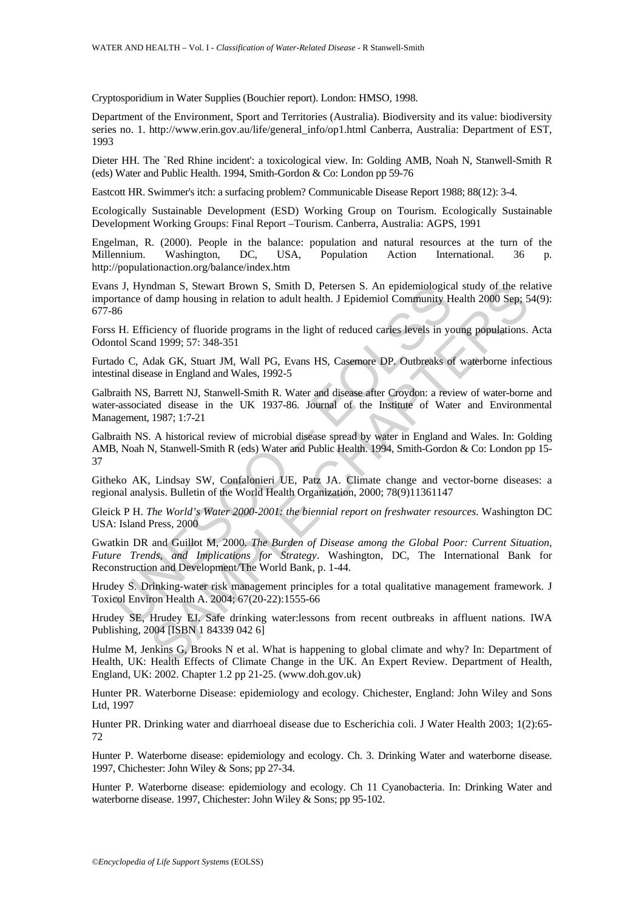Cryptosporidium in Water Supplies (Bouchier report). London: HMSO, 1998.

Department of the Environment, Sport and Territories (Australia). Biodiversity and its value: biodiversity series no. 1. http://www.erin.gov.au/life/general\_info/op1.html Canberra, Australia: Department of EST, 1993

Dieter HH. The `Red Rhine incident': a toxicological view. In: Golding AMB, Noah N, Stanwell-Smith R (eds) Water and Public Health. 1994, Smith-Gordon & Co: London pp 59-76

Eastcott HR. Swimmer's itch: a surfacing problem? Communicable Disease Report 1988; 88(12): 3-4.

Ecologically Sustainable Development (ESD) Working Group on Tourism. Ecologically Sustainable Development Working Groups: Final Report –Tourism. Canberra, Australia: AGPS, 1991

Engelman, R. (2000). People in the balance: population and natural resources at the turn of the Millennium. Washington, DC, USA, Population Action International. 36 p. http://populationaction.org/balance/index.htm

Evans J, Hyndman S, Stewart Brown S, Smith D, Petersen S. An epidemiological study of the relative importance of damp housing in relation to adult health. J Epidemiol Community Health 2000 Sep; 54(9): 677-86

Forss H. Efficiency of fluoride programs in the light of reduced caries levels in young populations. Acta Odontol Scand 1999; 57: 348-351

Furtado C, Adak GK, Stuart JM, Wall PG, Evans HS, Casemore DP. Outbreaks of waterborne infectious intestinal disease in England and Wales, 1992-5

Galbraith NS, Barrett NJ, Stanwell-Smith R. Water and disease after Croydon: a review of water-borne and water-associated disease in the UK 1937-86. Journal of the Institute of Water and Environmental Management, 1987; 1:7-21

is J, Hyndman S, Stewart Brown S, Smith D, Petersen S. An epidemiologica<br>
Markence of damp housing in relation to adult health. J Epidemiol Community H<br>
86<br>
SH. Efficiency of fluoride programs in the light of reduced carie ndman S, Stewart Brown S, Smith D, Petersen S. An epidemiological study of the relay<br>
of damp housing in relation to adult health. J Epidemiol Community Health 2000 Sep, 5<br>
ciency of fluoride programs in the light of reduc Galbraith NS. A historical review of microbial disease spread by water in England and Wales. In: Golding AMB, Noah N, Stanwell-Smith R (eds) Water and Public Health. 1994, Smith-Gordon & Co: London pp 15- 37

Githeko AK, Lindsay SW, Confalonieri UE, Patz JA. Climate change and vector-borne diseases: a regional analysis. Bulletin of the World Health Organization, 2000; 78(9)11361147

Gleick P H. *The World's Water 2000-2001: the biennial report on freshwater resources*. Washington DC USA: Island Press, 2000

Gwatkin DR and Guillot M, 2000*. The Burden of Disease among the Global Poor: Current Situation, Future Trends, and Implications for Strategy*. Washington, DC, The International Bank for Reconstruction and Development/The World Bank, p. 1-44.

Hrudey S. Drinking-water risk management principles for a total qualitative management framework. J Toxicol Environ Health A. 2004; 67(20-22):1555-66

Hrudey SE, Hrudey EJ. Safe drinking water:lessons from recent outbreaks in affluent nations. IWA Publishing, 2004 [ISBN 1 84339 042 6]

Hulme M, Jenkins G, Brooks N et al. What is happening to global climate and why? In: Department of Health, UK: Health Effects of Climate Change in the UK. An Expert Review. Department of Health, England, UK: 2002. Chapter 1.2 pp 21-25. (www.doh.gov.uk)

Hunter PR. Waterborne Disease: epidemiology and ecology. Chichester, England: John Wiley and Sons Ltd, 1997

Hunter PR. Drinking water and diarrhoeal disease due to Escherichia coli. J Water Health 2003; 1(2):65- 72

Hunter P. Waterborne disease: epidemiology and ecology. Ch. 3. Drinking Water and waterborne disease. 1997, Chichester: John Wiley & Sons; pp 27-34.

Hunter P. Waterborne disease: epidemiology and ecology. Ch 11 Cyanobacteria. In: Drinking Water and waterborne disease. 1997, Chichester: John Wiley & Sons; pp 95-102.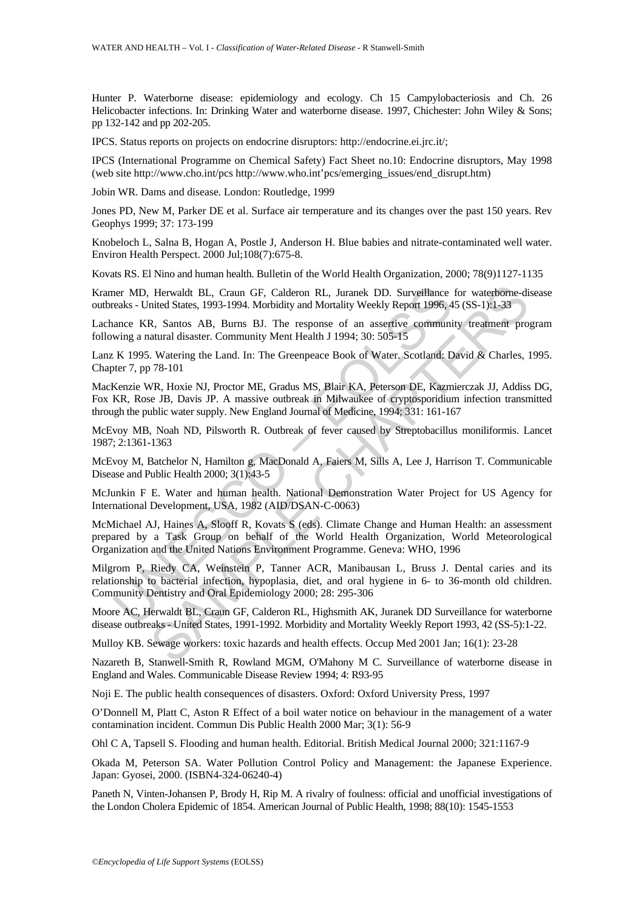Hunter P. Waterborne disease: epidemiology and ecology. Ch 15 Campylobacteriosis and Ch. 26 Helicobacter infections. In: Drinking Water and waterborne disease. 1997, Chichester: John Wiley & Sons; pp 132-142 and pp 202-205.

IPCS. Status reports on projects on endocrine disruptors: http://endocrine.ei.jrc.it/;

IPCS (International Programme on Chemical Safety) Fact Sheet no.10: Endocrine disruptors, May 1998 (web site http://www.cho.int/pcs http://www.who.int'pcs/emerging\_issues/end\_disrupt.htm)

Jobin WR. Dams and disease. London: Routledge, 1999

Jones PD, New M, Parker DE et al. Surface air temperature and its changes over the past 150 years. Rev Geophys 1999; 37: 173-199

Knobeloch L, Salna B, Hogan A, Postle J, Anderson H. Blue babies and nitrate-contaminated well water. Environ Health Perspect. 2000 Jul;108(7):675-8.

Kovats RS. El Nino and human health. Bulletin of the World Health Organization, 2000; 78(9)1127-1135

Kramer MD, Herwaldt BL, Craun GF, Calderon RL, Juranek DD. Surveillance for waterborne-disease outbreaks - United States, 1993-1994. Morbidity and Mortality Weekly Report 1996, 45 (SS-1):1-33

Lachance KR, Santos AB, Burns BJ. The response of an assertive community treatment program following a natural disaster. Community Ment Health J 1994; 30: 505-15

Lanz K 1995. Watering the Land. In: The Greenpeace Book of Water. Scotland: David & Charles, 1995. Chapter 7, pp 78-101

MacKenzie WR, Hoxie NJ, Proctor ME, Gradus MS, Blair KA, Peterson DE, Kazmierczak JJ, Addiss DG, Fox KR, Rose JB, Davis JP. A massive outbreak in Milwaukee of cryptosporidium infection transmitted through the public water supply. New England Journal of Medicine, 1994; 331: 161-167

McEvoy MB, Noah ND, Pilsworth R. Outbreak of fever caused by Streptobacillus moniliformis. Lancet 1987; 2:1361-1363

McEvoy M, Batchelor N, Hamilton g, MacDonald A, Faiers M, Sills A, Lee J, Harrison T. Communicable Disease and Public Health 2000; 3(1):43-5

McJunkin F E. Water and human health. National Demonstration Water Project for US Agency for International Development, USA, 1982 (AID/DSAN-C-0063)

ner MD, Herwaldt BL, Craun GF, Calderon RL, Juranek DD. Surveillance<br>eaks - United States, 1993-1994. Morbidity and Mortality Weekly Report 1996, 4<br>ance KR, Santos AB, Burns BJ. The response of an assertive communi<br>wing a Herwaldt BL, Craun GF, Calderon RL, Juranck DD. Surveillance for waterborne-dinied States, 1993-1994, Morbidity and Mortality Weekly Report 1996, 45 (SS-1):1-33<br>
R, Santos AB, Burus BJ. The response of an assertive communi McMichael AJ, Haines A, Slooff R, Kovats S (eds). Climate Change and Human Health: an assessment prepared by a Task Group on behalf of the World Health Organization, World Meteorological Organization and the United Nations Environment Programme. Geneva: WHO, 1996

Milgrom P, Riedy CA, Weinstein P, Tanner ACR, Manibausan L, Bruss J. Dental caries and its relationship to bacterial infection, hypoplasia, diet, and oral hygiene in 6- to 36-month old children. Community Dentistry and Oral Epidemiology 2000; 28: 295-306

Moore AC, Herwaldt BL, Craun GF, Calderon RL, Highsmith AK, Juranek DD Surveillance for waterborne disease outbreaks - United States, 1991-1992. Morbidity and Mortality Weekly Report 1993, 42 (SS-5):1-22.

Mulloy KB. Sewage workers: toxic hazards and health effects. Occup Med 2001 Jan; 16(1): 23-28

Nazareth B, Stanwell-Smith R, Rowland MGM, O'Mahony M C. Surveillance of waterborne disease in England and Wales. Communicable Disease Review 1994; 4: R93-95

Noji E. The public health consequences of disasters. Oxford: Oxford University Press, 1997

O'Donnell M, Platt C, Aston R Effect of a boil water notice on behaviour in the management of a water contamination incident. Commun Dis Public Health 2000 Mar; 3(1): 56-9

Ohl C A, Tapsell S. Flooding and human health. Editorial. British Medical Journal 2000; 321:1167-9

Okada M, Peterson SA. Water Pollution Control Policy and Management: the Japanese Experience. Japan: Gyosei, 2000. (ISBN4-324-06240-4)

Paneth N, Vinten-Johansen P, Brody H, Rip M. A rivalry of foulness: official and unofficial investigations of the London Cholera Epidemic of 1854. American Journal of Public Health, 1998; 88(10): 1545-1553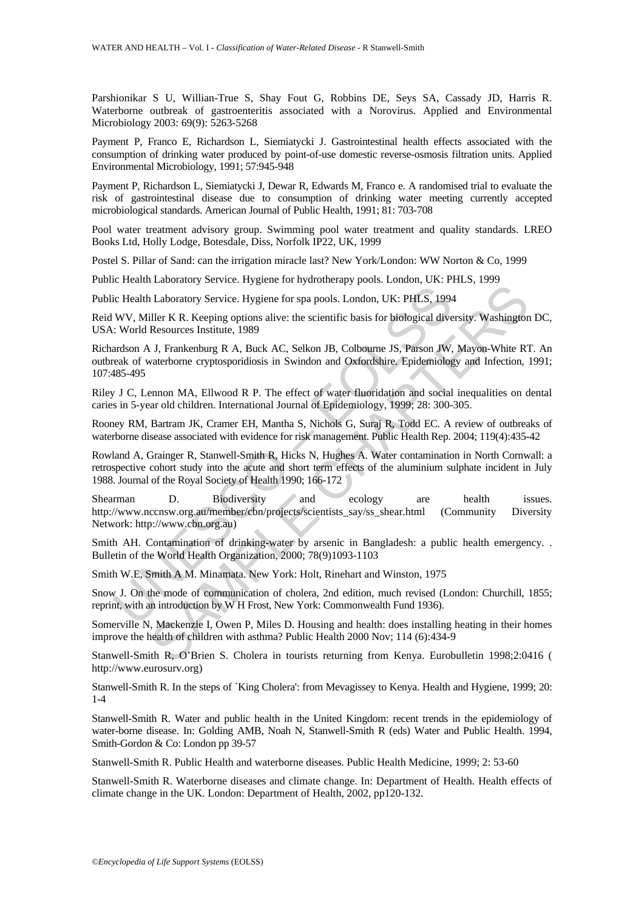Parshionikar S U, Willian-True S, Shay Fout G, Robbins DE, Seys SA, Cassady JD, Harris R. Waterborne outbreak of gastroenteritis associated with a Norovirus. Applied and Environmental Microbiology 2003: 69(9): 5263-5268

Payment P, Franco E, Richardson L, Siemiatycki J. Gastrointestinal health effects associated with the consumption of drinking water produced by point-of-use domestic reverse-osmosis filtration units. Applied Environmental Microbiology, 1991; 57:945-948

Payment P, Richardson L, Siemiatycki J, Dewar R, Edwards M, Franco e. A randomised trial to evaluate the risk of gastrointestinal disease due to consumption of drinking water meeting currently accepted microbiological standards. American Journal of Public Health, 1991; 81: 703-708

Pool water treatment advisory group. Swimming pool water treatment and quality standards. LREO Books Ltd, Holly Lodge, Botesdale, Diss, Norfolk IP22, UK, 1999

Postel S. Pillar of Sand: can the irrigation miracle last? New York/London: WW Norton & Co, 1999

Public Health Laboratory Service. Hygiene for hydrotherapy pools. London, UK: PHLS, 1999

Public Health Laboratory Service. Hygiene for spa pools. London, UK: PHLS, 1994

Reid WV, Miller K R. Keeping options alive: the scientific basis for biological diversity. Washington DC, USA: World Resources Institute, 1989

Richardson A J, Frankenburg R A, Buck AC, Selkon JB, Colbourne JS, Parson JW, Mayon-White RT. An outbreak of waterborne cryptosporidiosis in Swindon and Oxfordshire. Epidemiology and Infection, 1991; 107:485-495

Riley J C, Lennon MA, Ellwood R P. The effect of water fluoridation and social inequalities on dental caries in 5-year old children. International Journal of Epidemiology, 1999; 28: 300-305.

Rooney RM, Bartram JK, Cramer EH, Mantha S, Nichols G, Suraj R, Todd EC. A review of outbreaks of waterborne disease associated with evidence for risk management. Public Health Rep. 2004; 119(4):435-42

ic Health Laboratory Service. Hygiene for spa pools. London, UK: PHLS, 1994<br>WV, Miller K R. Keeping options alive: the scientific basis for biological dive<br>
C. World Resources Institute, 1989<br>
ardson A J, Frankenburg R A, Laboratory Service. Hygiene for spa pools. London, UK: PHLS, 1994<br>
Laboratory Service. Hygiene for spa pools. London, UK: PHLS, 1994<br>
iller K R. Keeping options alive: the scientific basis for biological diversity. Washing Rowland A, Grainger R, Stanwell-Smith R, Hicks N, Hughes A. Water contamination in North Cornwall: a retrospective cohort study into the acute and short term effects of the aluminium sulphate incident in July 1988. Journal of the Royal Society of Health 1990; 166-172

Shearman D. Biodiversity and ecology are health issues. http://www.nccnsw.org.au/member/cbn/projects/scientists\_say/ss\_shear.html (Community Diversity Network: http://www.cbn.org.au)

Smith AH. Contamination of drinking-water by arsenic in Bangladesh: a public health emergency. . Bulletin of the World Health Organization, 2000; 78(9)1093-1103

Smith W.E, Smith A M. Minamata. New York: Holt, Rinehart and Winston, 1975

Snow J. On the mode of communication of cholera, 2nd edition, much revised (London: Churchill, 1855; reprint, with an introduction by W H Frost, New York: Commonwealth Fund 1936).

Somerville N, Mackenzie I, Owen P, Miles D. Housing and health: does installing heating in their homes improve the health of children with asthma? Public Health 2000 Nov; 114 (6):434-9

Stanwell-Smith R, O'Brien S. Cholera in tourists returning from Kenya. Eurobulletin 1998;2:0416 ( http://www.eurosurv.org)

Stanwell-Smith R. In the steps of `King Cholera': from Mevagissey to Kenya. Health and Hygiene, 1999; 20: 1-4

Stanwell-Smith R. Water and public health in the United Kingdom: recent trends in the epidemiology of water-borne disease. In: Golding AMB, Noah N, Stanwell-Smith R (eds) Water and Public Health. 1994, Smith-Gordon & Co: London pp 39-57

Stanwell-Smith R. Public Health and waterborne diseases. Public Health Medicine, 1999; 2: 53-60

Stanwell-Smith R. Waterborne diseases and climate change. In: Department of Health. Health effects of climate change in the UK. London: Department of Health, 2002, pp120-132.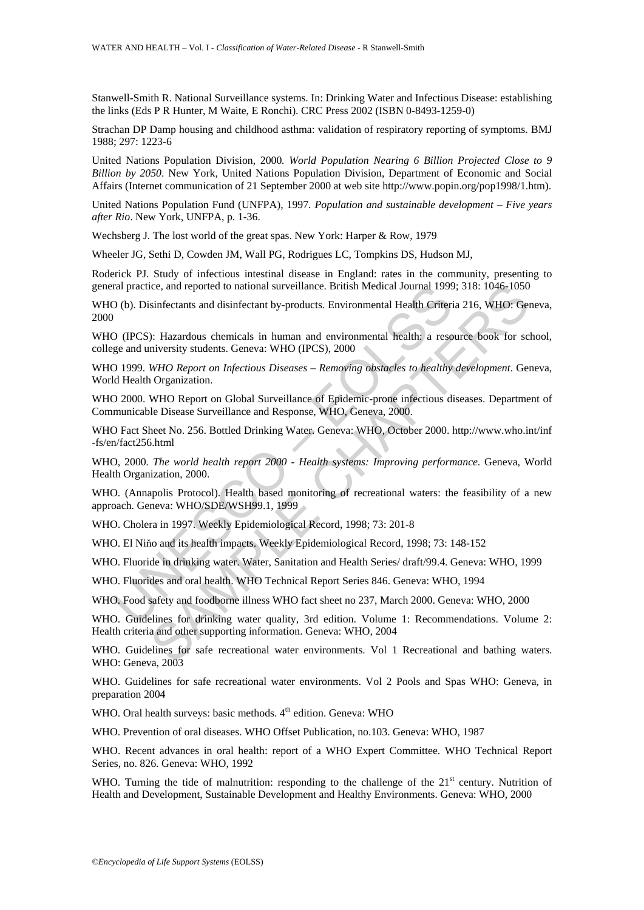Stanwell-Smith R. National Surveillance systems. In: Drinking Water and Infectious Disease: establishing the links (Eds P R Hunter, M Waite, E Ronchi). CRC Press 2002 (ISBN 0-8493-1259-0)

Strachan DP Damp housing and childhood asthma: validation of respiratory reporting of symptoms. BMJ 1988; 297: 1223-6

United Nations Population Division, 2000*. World Population Nearing 6 Billion Projected Close to 9 Billion by 2050*. New York, United Nations Population Division, Department of Economic and Social Affairs (Internet communication of 21 September 2000 at web site http://www.popin.org/pop1998/1.htm).

United Nations Population Fund (UNFPA), 1997*. Population and sustainable development – Five years after Rio*. New York, UNFPA, p. 1-36.

Wechsberg J. The lost world of the great spas. New York: Harper & Row, 1979

Wheeler JG, Sethi D, Cowden JM, Wall PG, Rodrigues LC, Tompkins DS, Hudson MJ,

Roderick PJ. Study of infectious intestinal disease in England: rates in the community, presenting to general practice, and reported to national surveillance. British Medical Journal 1999; 318: 1046-1050

WHO (b). Disinfectants and disinfectant by-products. Environmental Health Criteria 216, WHO: Geneva, 2000

WHO (IPCS): Hazardous chemicals in human and environmental health: a resource book for school, college and university students. Geneva: WHO (IPCS), 2000

WHO 1999. *WHO Report on Infectious Diseases – Removing obstacles to healthy development*. Geneva, World Health Organization.

WHO 2000. WHO Report on Global Surveillance of Epidemic-prone infectious diseases. Department of Communicable Disease Surveillance and Response, WHO, Geneva, 2000.

WHO Fact Sheet No. 256. Bottled Drinking Water. Geneva: WHO, October 2000. http://www.who.int/inf -fs/en/fact256.html

ral practice, and reported to national surveillance. British Medical Journal 1995<br>
1) (b). Disinfectants and disinfectant by-products. Environmental Health Criteri<br>
1) (IPCS): Hazardous chemicals in human and environmental ice, and reported to national surveillance. British Medical Journal 1999; 318: 1046-1050<br>sinfectants and disinfectant by-products. Environmental Health Criteria 216, WHO: Gea<br>
1): Hazardous chemicals in human and environme WHO, 2000*. The world health report 2000 - Health systems: Improving performance*. Geneva, World Health Organization, 2000.

WHO. (Annapolis Protocol). Health based monitoring of recreational waters: the feasibility of a new approach. Geneva: WHO/SDE/WSH99.1, 1999

WHO. Cholera in 1997. Weekly Epidemiological Record, 1998; 73: 201-8

WHO. El Niňo and its health impacts. Weekly Epidemiological Record, 1998; 73: 148-152

WHO. Fluoride in drinking water. Water, Sanitation and Health Series/ draft/99.4. Geneva: WHO, 1999

WHO. Fluorides and oral health. WHO Technical Report Series 846. Geneva: WHO, 1994

WHO. Food safety and foodborne illness WHO fact sheet no 237, March 2000. Geneva: WHO, 2000

WHO. Guidelines for drinking water quality, 3rd edition. Volume 1: Recommendations. Volume 2: Health criteria and other supporting information. Geneva: WHO, 2004

WHO. Guidelines for safe recreational water environments. Vol 1 Recreational and bathing waters. WHO: Geneva, 2003

WHO. Guidelines for safe recreational water environments. Vol 2 Pools and Spas WHO: Geneva, in preparation 2004

WHO. Oral health surveys: basic methods.  $4<sup>th</sup>$  edition. Geneva: WHO

WHO. Prevention of oral diseases. WHO Offset Publication, no.103. Geneva: WHO, 1987

WHO. Recent advances in oral health: report of a WHO Expert Committee. WHO Technical Report Series, no. 826. Geneva: WHO, 1992

WHO. Turning the tide of malnutrition: responding to the challenge of the  $21<sup>st</sup>$  century. Nutrition of Health and Development, Sustainable Development and Healthy Environments. Geneva: WHO, 2000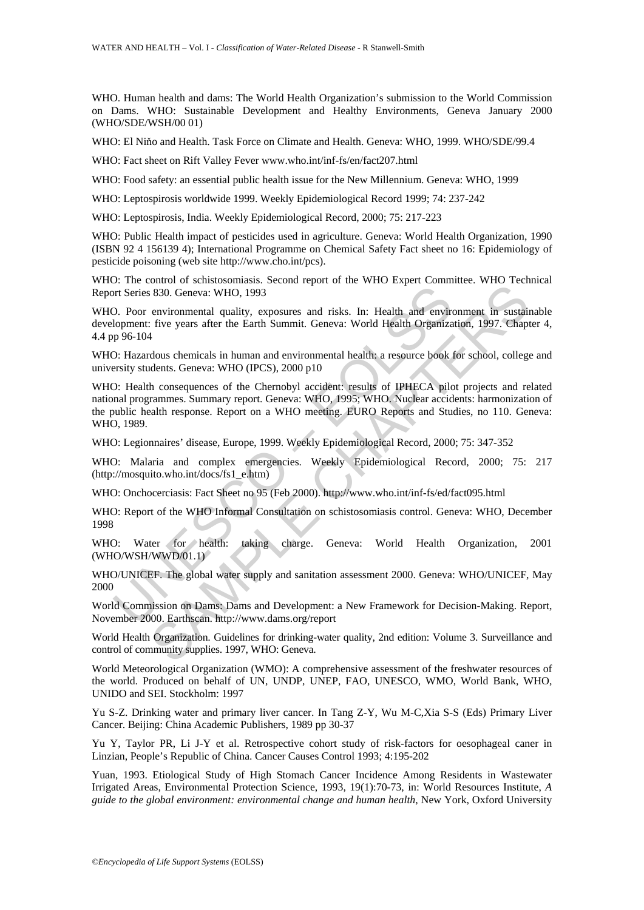WHO. Human health and dams: The World Health Organization's submission to the World Commission on Dams. WHO: Sustainable Development and Healthy Environments, Geneva January 2000 (WHO/SDE/WSH/00 01)

WHO: El Niňo and Health. Task Force on Climate and Health. Geneva: WHO, 1999. WHO/SDE/99.4

WHO: Fact sheet on Rift Valley Fever www.who.int/inf-fs/en/fact207.html

WHO: Food safety: an essential public health issue for the New Millennium. Geneva: WHO, 1999

WHO: Leptospirosis worldwide 1999. Weekly Epidemiological Record 1999; 74: 237-242

WHO: Leptospirosis, India. Weekly Epidemiological Record, 2000; 75: 217-223

WHO: Public Health impact of pesticides used in agriculture. Geneva: World Health Organization, 1990 (ISBN 92 4 156139 4); International Programme on Chemical Safety Fact sheet no 16: Epidemiology of pesticide poisoning (web site http://www.cho.int/pcs).

WHO: The control of schistosomiasis. Second report of the WHO Expert Committee. WHO Technical Report Series 830. Geneva: WHO, 1993

WHO. Poor environmental quality, exposures and risks. In: Health and environment in sustainable development: five years after the Earth Summit. Geneva: World Health Organization, 1997. Chapter 4, 4.4 pp 96-104

WHO: Hazardous chemicals in human and environmental health: a resource book for school, college and university students. Geneva: WHO (IPCS), 2000 p10

The Section of Demonstrate Control (Martin Consultation of Demonstrate 2000, Geneva: World Health Section<br>1998). Poor environmental quality, exposures and risks. In: Health and environment: five years after the Earth Summi SAMPORTION THEORY OF THE CHAPTER CHAPTER CHAPTER CONDUCTS.<br>
SAMPORTIVE THE SURVEY CHAPTERS and relation of the MIS Experimental math and any<br>
denotes the Barth Summit. Geneva: World Health Organization, 1997. Chapter<br>
dous WHO: Health consequences of the Chernobyl accident: results of IPHECA pilot projects and related national programmes. Summary report. Geneva: WHO, 1995; WHO. Nuclear accidents: harmonization of the public health response. Report on a WHO meeting. EURO Reports and Studies, no 110. Geneva: WHO, 1989.

WHO: Legionnaires' disease, Europe, 1999. Weekly Epidemiological Record, 2000; 75: 347-352

WHO: Malaria and complex emergencies. Weekly Epidemiological Record, 2000; 75: 217 (http://mosquito.who.int/docs/fs1\_e.htm)

WHO: Onchocerciasis: Fact Sheet no 95 (Feb 2000). http://www.who.int/inf-fs/ed/fact095.html

WHO: Report of the WHO Informal Consultation on schistosomiasis control. Geneva: WHO, December 1998

WHO: Water for health: taking charge. Geneva: World Health Organization, 2001 (WHO/WSH/WWD/01.1)

WHO/UNICEF. The global water supply and sanitation assessment 2000. Geneva: WHO/UNICEF, May 2000

World Commission on Dams: Dams and Development: a New Framework for Decision-Making. Report, November 2000. Earthscan. http://www.dams.org/report

World Health Organization. Guidelines for drinking-water quality, 2nd edition: Volume 3. Surveillance and control of community supplies. 1997, WHO: Geneva.

World Meteorological Organization (WMO): A comprehensive assessment of the freshwater resources of the world. Produced on behalf of UN, UNDP, UNEP, FAO, UNESCO, WMO, World Bank, WHO, UNIDO and SEI. Stockholm: 1997

Yu S-Z. Drinking water and primary liver cancer. In Tang Z-Y, Wu M-C,Xia S-S (Eds) Primary Liver Cancer. Beijing: China Academic Publishers, 1989 pp 30-37

Yu Y, Taylor PR, Li J-Y et al. Retrospective cohort study of risk-factors for oesophageal caner in Linzian, People's Republic of China. Cancer Causes Control 1993; 4:195-202

Yuan, 1993. Etiological Study of High Stomach Cancer Incidence Among Residents in Wastewater Irrigated Areas, Environmental Protection Science, 1993, 19(1):70-73, in: World Resources Institute, *A guide to the global environment: environmental change and human health*, New York, Oxford University